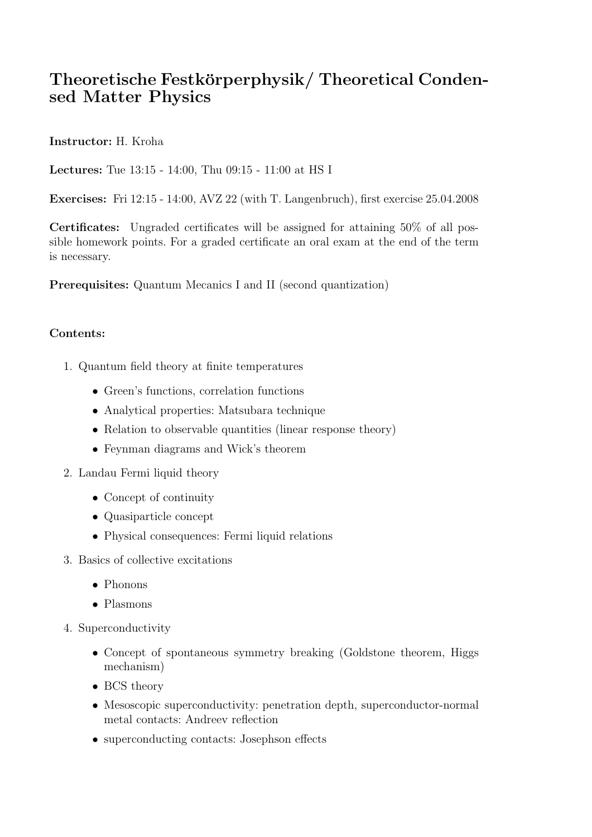## Theoretische Festkörperphysik/ Theoretical Condensed Matter Physics

Instructor: H. Kroha

Lectures: Tue 13:15 - 14:00, Thu 09:15 - 11:00 at HS I

Exercises: Fri 12:15 - 14:00, AVZ 22 (with T. Langenbruch), first exercise 25.04.2008

Certificates: Ungraded certificates will be assigned for attaining 50% of all possible homework points. For a graded certificate an oral exam at the end of the term is necessary.

Prerequisites: Quantum Mecanics I and II (second quantization)

## Contents:

- 1. Quantum field theory at finite temperatures
	- Green's functions, correlation functions
	- Analytical properties: Matsubara technique
	- Relation to observable quantities (linear response theory)
	- Feynman diagrams and Wick's theorem
- 2. Landau Fermi liquid theory
	- Concept of continuity
	- Quasiparticle concept
	- Physical consequences: Fermi liquid relations
- 3. Basics of collective excitations
	- Phonons
	- Plasmons
- 4. Superconductivity
	- Concept of spontaneous symmetry breaking (Goldstone theorem, Higgs mechanism)
	- BCS theory
	- Mesoscopic superconductivity: penetration depth, superconductor-normal metal contacts: Andreev reflection
	- superconducting contacts: Josephson effects